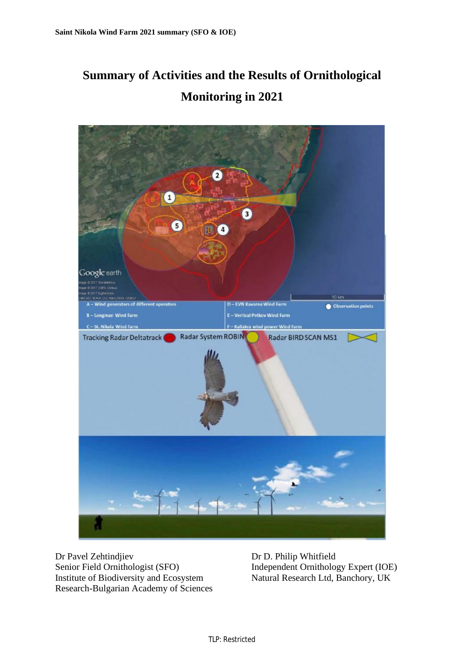# **Summary of Activities and the Results of Ornithological Monitoring in 2021**



Dr Pavel Zehtindjiev Senior Field Ornithologist (SFO) Institute of Biodiversity and Ecosystem Research-Bulgarian Academy of Sciences Dr D. Philip Whitfield Independent Ornithology Expert (IOE) Natural Research Ltd, Banchory, UK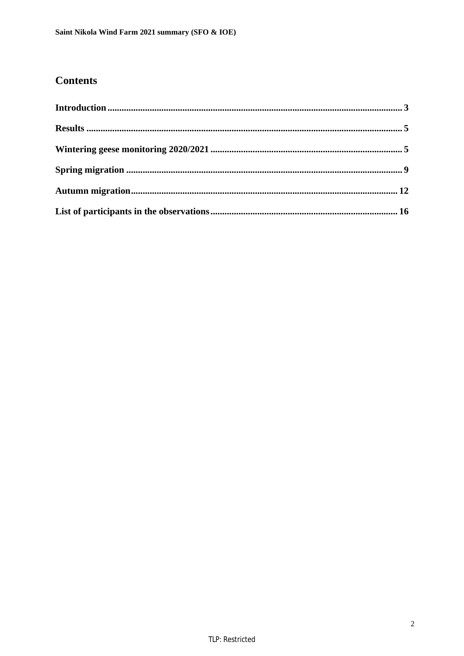## **Contents**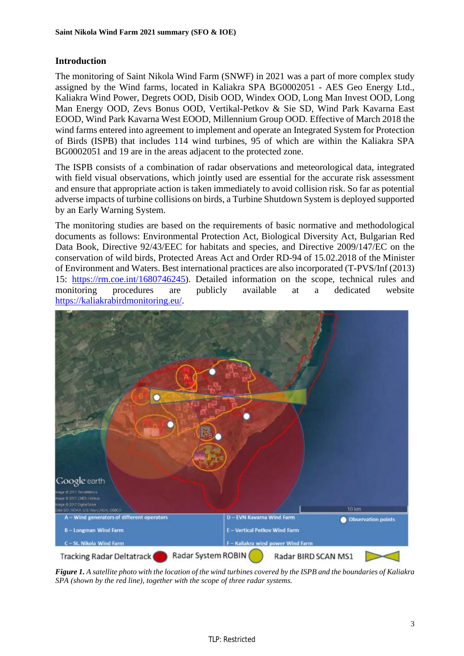## **Introduction**

The monitoring of Saint Nikola Wind Farm (SNWF) in 2021 was a part of more complex study assigned by the Wind farms, located in Kaliakra SPA BG0002051 - AES Geo Energy Ltd., Kaliakra Wind Power, Degrets OOD, Disib OOD, Windex OOD, Long Man Invest OOD, Long Man Energy OOD, Zevs Bonus OOD, Vertikal-Petkov & Sie SD, Wind Park Kavarna East EOOD, Wind Park Kavarna West EOOD, Millennium Group OOD. Effective of March 2018 the wind farms entered into agreement to implement and operate an Integrated System for Protection of Birds (ISPB) that includes 114 wind turbines, 95 of which are within the Kaliakra SPA BG0002051 and 19 are in the areas adjacent to the protected zone.

The ISPB consists of a combination of radar observations and meteorological data, integrated with field visual observations, which jointly used are essential for the accurate risk assessment and ensure that appropriate action is taken immediately to avoid collision risk. So far as potential adverse impacts of turbine collisions on birds, a Turbine Shutdown System is deployed supported by an Early Warning System.

The monitoring studies are based on the requirements of basic normative and methodological documents as follows: Environmental Protection Act, Biological Diversity Act, Bulgarian Red Data Book, Directive 92/43/EEC for habitats and species, and Directive 2009/147/EC on the conservation of wild birds, Protected Areas Act and Order RD-94 of 15.02.2018 of the Minister of Environment and Waters. Best international practices are also incorporated (T-PVS/Inf (2013) 15: [https://rm.coe.int/1680746245\)](https://rm.coe.int/1680746245). Detailed information on the scope, technical rules and monitoring procedures are publicly available at a dedicated website <https://kaliakrabirdmonitoring.eu/>.



Figure 1. A satellite photo with the location of the wind turbines covered by the ISPB and the boundaries of Kaliakra *SPA (shown by the red line), together with the scope of three radar systems.*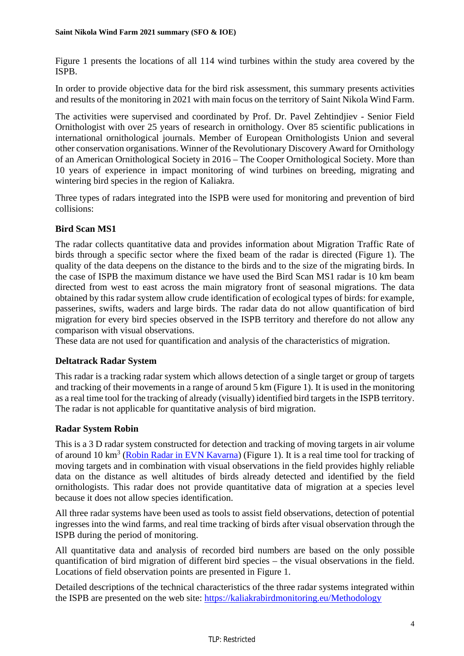Figure 1 presents the locations of all 114 wind turbines within the study area covered by the ISPB.

In order to provide objective data for the bird risk assessment, this summary presents activities and results of the monitoring in 2021 with main focus on the territory of Saint Nikola Wind Farm.

The activities were supervised and coordinated by Prof. Dr. Pavel Zehtindjiev - Senior Field Ornithologist with over 25 years of research in ornithology. Over 85 scientific publications in international ornithological journals. Member of European Ornithologists Union and several other conservation organisations. Winner of the Revolutionary Discovery Award for Ornithology of an American Ornithological Society in 2016 – The Cooper Ornithological Society. More than 10 years of experience in impact monitoring of wind turbines on breeding, migrating and wintering bird species in the region of Kaliakra.

Three types of radars integrated into the ISPB were used for monitoring and prevention of bird collisions:

## **Bird Scan MS1**

The radar collects quantitative data and provides information about Migration Traffic Rate of birds through a specific sector where the fixed beam of the radar is directed (Figure 1). The quality of the data deepens on the distance to the birds and to the size of the migrating birds. In the case of ISPB the maximum distance we have used the Bird Scan MS1 radar is 10 km beam directed from west to east across the main migratory front of seasonal migrations. The data obtained by this radar system allow crude identification of ecological types of birds: for example, passerines, swifts, waders and large birds. The radar data do not allow quantification of bird migration for every bird species observed in the ISPB territory and therefore do not allow any comparison with visual observations.

These data are not used for quantification and analysis of the characteristics of migration.

## **Deltatrack Radar System**

This radar is a tracking radar system which allows detection of a single target or group of targets and tracking of their movements in a range of around 5 km (Figure 1). It is used in the monitoring as a real time tool for the tracking of already (visually) identified bird targets in the ISPB territory. The radar is not applicable for quantitative analysis of bird migration.

## **Radar System Robin**

This is a 3 D radar system constructed for detection and tracking of moving targets in air volume of around 10 km<sup>3</sup> (Robin Radar in EVN Kavarna) (Figure 1). It is a real time tool for tracking of moving targets and in combination with visual observations in the field provides highly reliable data on the distance as well altitudes of birds already detected and identified by the field ornithologists. This radar does not provide quantitative data of migration at a species level because it does not allow species identification.

All three radar systems have been used as tools to assist field observations, detection of potential ingresses into the wind farms, and real time tracking of birds after visual observation through the ISPB during the period of monitoring.

All quantitative data and analysis of recorded bird numbers are based on the only possible quantification of bird migration of different bird species – the visual observations in the field. Locations of field observation points are presented in Figure 1.

Detailed descriptions of the technical characteristics of the three radar systems integrated within the ISPB are presented on the web site:<https://kaliakrabirdmonitoring.eu/Methodology>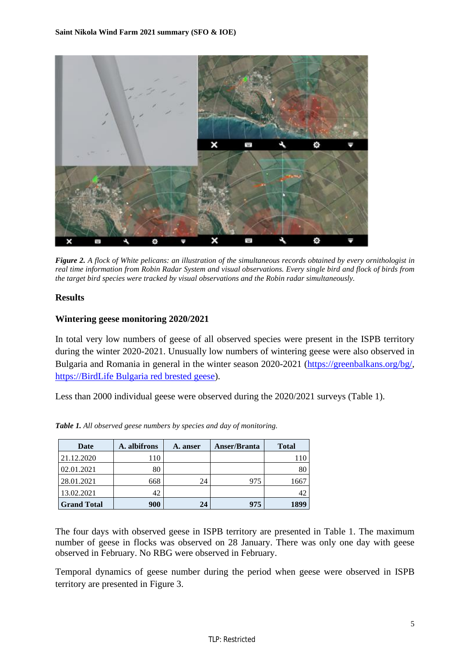

Figure 2. A flock of White pelicans: an illustration of the simultaneous records obtained by every ornithologist in real time information from Robin Radar System and visual observations. Every single bird and flock of birds from *the target bird species were tracked by visual observations and the Robin radar simultaneously.* 

## **Results**

## **Wintering geese monitoring 2020/2021**

In total very low numbers of geese of all observed species were present in the ISPB territory during the winter 2020-2021. Unusually low numbers of wintering geese were also observed in Bulgaria and Romania in general in the winter season 2020-2021 [\(https://greenbalkans.org/bg/,](https://greenbalkans.org/bg/) https://BirdLife Bulgaria red brested geese).

Less than 2000 individual geese were observed during the 2020/2021 surveys (Table 1).

| Date               | A. albifrons | A. anser | Anser/Branta | <b>Total</b> |
|--------------------|--------------|----------|--------------|--------------|
| 21.12.2020         | 110          |          |              |              |
| 02.01.2021         | 80           |          |              | 80           |
| 28.01.2021         | 668          | 24       | 975          | 1667         |
| 13.02.2021         | 42           |          |              |              |
| <b>Grand Total</b> | 900          | 24       | 975          | 1899         |

*Table 1. All observed geese numbers by species and day of monitoring.* 

The four days with observed geese in ISPB territory are presented in Table 1. The maximum number of geese in flocks was observed on 28 January. There was only one day with geese observed in February. No RBG were observed in February.

Temporal dynamics of geese number during the period when geese were observed in ISPB territory are presented in Figure 3.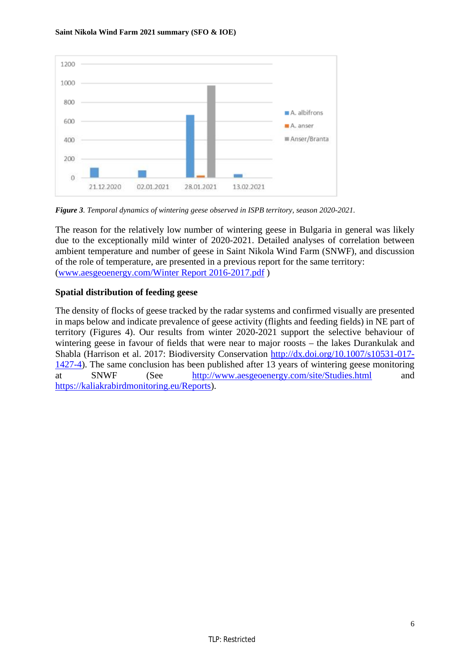

*Figure 3. Temporal dynamics of wintering geese observed in ISPB territory, season 2020-2021.* 

The reason for the relatively low number of wintering geese in Bulgaria in general was likely due to the exceptionally mild winter of 2020-2021. Detailed analyses of correlation between ambient temperature and number of geese in Saint Nikola Wind Farm (SNWF), and discussion of the role of temperature, are presented in a previous report for the same territory: ([www.aesgeoenergy.com/Winter](http://www.aesgeoenergy.com/Winter) Report 2016-2017.pdf )

## **Spatial distribution of feeding geese**

The density of flocks of geese tracked by the radar systems and confirmed visually are presented in maps below and indicate prevalence of geese activity (flights and feeding fields) in NE part of territory (Figures 4). Our results from winter 2020-2021 support the selective behaviour of wintering geese in favour of fields that were near to major roosts – the lakes Durankulak and Shabla (Harrison et al. 2017: Biodiversity Conservation [http://dx.doi.org/10.1007/s10531-017-](http://dx.doi.org/10.1007/s10531-017) 1427-4). The same conclusion has been published after 13 years of wintering geese monitoring at SNWF (See <http://www.aesgeoenergy.com/site/Studies.html> and <https://kaliakrabirdmonitoring.eu/Reports>).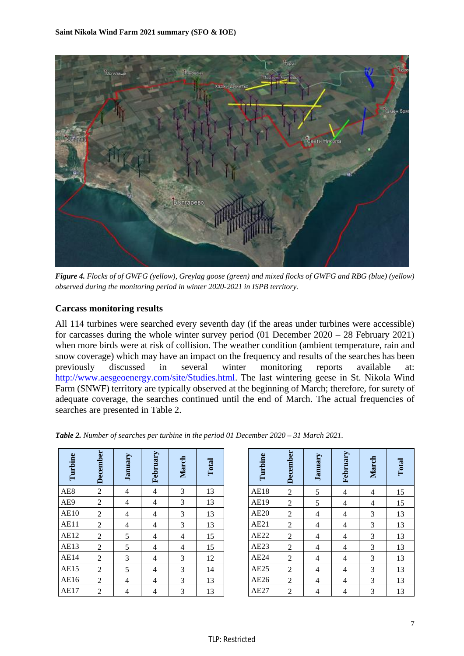

Figure 4. Flocks of of GWFG (yellow), Greylag goose (green) and mixed flocks of GWFG and RBG (blue) (yellow) *observed during the monitoring period in winter 2020-2021 in ISPB territory.* 

## **Carcass monitoring results**

All 114 turbines were searched every seventh day (if the areas under turbines were accessible) for carcasses during the whole winter survey period (01 December 2020 – 28 February 2021) when more birds were at risk of collision. The weather condition (ambient temperature, rain and snow coverage) which may have an impact on the frequency and results of the searches has been previously discussed in several winter monitoring reports available at: <http://www.aesgeoenergy.com/site/Studies.html>. The last wintering geese in St. Nikola Wind Farm (SNWF) territory are typically observed at the beginning of March; therefore, for surety of adequate coverage, the searches continued until the end of March. The actual frequencies of searches are presented in Table 2.

| Turbine     | December         | January        | February                 | March          | Total |
|-------------|------------------|----------------|--------------------------|----------------|-------|
| AE8         | $\sqrt{2}$       | $\overline{4}$ | $\overline{4}$           | 3              | 13    |
| AE9         | $\sqrt{2}$       | $\overline{4}$ | $\overline{4}$           | 3              | 13    |
| <b>AE10</b> | $\boldsymbol{2}$ | $\overline{4}$ | $\overline{\mathcal{L}}$ | 3              | 13    |
| <b>AE11</b> | $\sqrt{2}$       | $\overline{4}$ | $\overline{4}$           | 3              | 13    |
| <b>AE12</b> | $\overline{2}$   | 5              | $\overline{\mathcal{L}}$ | $\overline{4}$ | 15    |
| <b>AE13</b> | $\mathbf{2}$     | 5              | $\overline{\mathcal{L}}$ | $\overline{4}$ | 15    |
| <b>AE14</b> | $\boldsymbol{2}$ | 3              | $\overline{4}$           | 3              | 12    |
| <b>AE15</b> | $\mathbf{2}$     | 5              | $\overline{4}$           | 3              | 14    |
| AE16        | $\overline{c}$   | 4              | $\overline{4}$           | 3              | 13    |
| AE17        | $\overline{2}$   | 4              | $\overline{\mathcal{L}}$ | 3              | 13    |

| Turbine     | <b>December</b> | January                  | February                 | March                    | Total |
|-------------|-----------------|--------------------------|--------------------------|--------------------------|-------|
| <b>AE18</b> | $\overline{c}$  | 5                        | $\overline{\mathcal{L}}$ | $\overline{\mathcal{L}}$ | 15    |
| AE19        | $\overline{c}$  | 5                        | $\overline{4}$           | $\overline{\mathcal{L}}$ | 15    |
| <b>AE20</b> | $\overline{2}$  | $\overline{\mathcal{L}}$ | $\overline{4}$           | 3                        | 13    |
| AE21        | $\sqrt{2}$      | $\overline{\mathcal{L}}$ | $\overline{4}$           | 3                        | 13    |
| AE22        | $\overline{2}$  | $\overline{4}$           | $\overline{4}$           | 3                        | 13    |
| AE23        | $\overline{c}$  | $\overline{4}$           | $\overline{4}$           | 3                        | 13    |
| AE24        | $\overline{c}$  | $\overline{\mathcal{L}}$ | $\overline{4}$           | 3                        | 13    |
| AE25        | $\overline{c}$  | $\overline{\mathcal{L}}$ | $\overline{\mathcal{L}}$ | 3                        | 13    |
| AE26        | $\overline{c}$  | 4                        | $\overline{4}$           | 3                        | 13    |
| AE27        | $\overline{c}$  | 4                        | 4                        | 3                        | 13    |

*Table 2. Number of searches per turbine in the period 01 December 2020 – 31 March 2021.*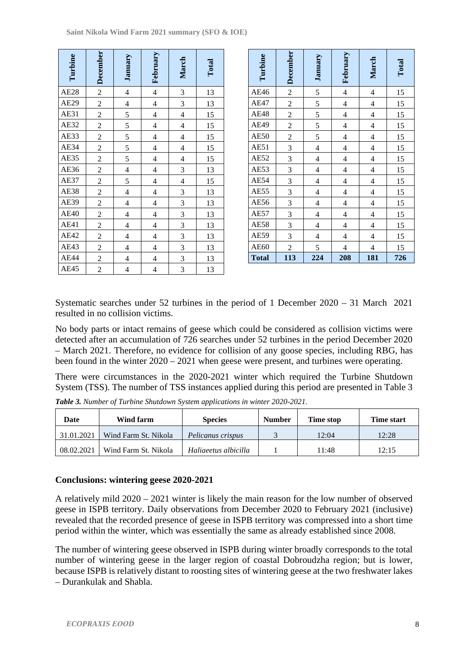| Turbine     | December       | January        | February                 | March                    | Total |
|-------------|----------------|----------------|--------------------------|--------------------------|-------|
| <b>AE28</b> | $\overline{c}$ | $\overline{4}$ | $\overline{4}$           | $\overline{\mathbf{3}}$  | 13    |
| <b>AE29</b> | $\overline{c}$ | $\overline{4}$ | $\overline{4}$           | $\overline{\mathbf{3}}$  | 13    |
| <b>AE31</b> | $\overline{c}$ | $\overline{5}$ | $\overline{4}$           | $\overline{\mathcal{L}}$ | 15    |
| <b>AE32</b> | $\overline{2}$ | $\overline{5}$ | $\overline{4}$           | $\overline{4}$           | 15    |
| AE33        | $\overline{2}$ | $\overline{5}$ | $\overline{4}$           | $\overline{\mathcal{L}}$ | 15    |
| AE34        | $\overline{2}$ | 5              | $\overline{4}$           | $\overline{\mathcal{L}}$ | 15    |
| AE35        | $\overline{2}$ | 5              | $\overline{4}$           | $\overline{4}$           | 15    |
| <b>AE36</b> | $\overline{2}$ | $\overline{4}$ | $\overline{4}$           | $\overline{\mathbf{3}}$  | 13    |
| AE37        | $\overline{2}$ | 5              | $\overline{4}$           | $\overline{4}$           | 15    |
| <b>AE38</b> | $\overline{2}$ | $\overline{4}$ | $\overline{4}$           | $\overline{\mathbf{3}}$  | 13    |
| AE39        | $\overline{2}$ | $\overline{4}$ | $\overline{4}$           | $\overline{3}$           | 13    |
| <b>AE40</b> | $\overline{2}$ | $\overline{4}$ | $\overline{\mathcal{L}}$ | $\overline{\mathbf{3}}$  | 13    |
| <b>AE41</b> | $\overline{2}$ | $\overline{4}$ | $\overline{4}$           | $\overline{3}$           | 13    |
| <b>AE42</b> | $\overline{2}$ | $\overline{4}$ | $\overline{4}$           | $\overline{3}$           | 13    |
| AE43        | $\overline{c}$ | $\overline{4}$ | $\overline{4}$           | $\overline{3}$           | 13    |
| AE44        | $\overline{2}$ | $\overline{4}$ | $\overline{\mathcal{L}}$ | $\overline{\mathbf{3}}$  | 13    |
| <b>AE45</b> | $\overline{c}$ | $\overline{4}$ | $\overline{4}$           | 3                        | 13    |

| Turbine      | December                | January                  | February                 | March                   | Total |
|--------------|-------------------------|--------------------------|--------------------------|-------------------------|-------|
| <b>AE46</b>  | $\overline{c}$          | 5                        | $\overline{4}$           | $\overline{4}$          | 15    |
| <b>AE47</b>  | $\overline{c}$          | 5                        | $\overline{\mathcal{L}}$ | $\overline{\mathbf{4}}$ | 15    |
| <b>AE48</b>  | $\overline{c}$          | 5                        | $\overline{\mathcal{L}}$ | $\overline{\mathbf{4}}$ | 15    |
| <b>AE49</b>  | $\overline{2}$          | $\overline{5}$           | $\overline{4}$           | $\overline{4}$          | 15    |
| <b>AE50</b>  | $\overline{2}$          | 5                        | $\overline{4}$           | $\overline{4}$          | 15    |
| AE51         | $\overline{3}$          | $\overline{4}$           | $\overline{4}$           | $\overline{4}$          | 15    |
| AE52         | $\overline{\mathbf{3}}$ | $\overline{\mathcal{L}}$ | $\overline{\mathcal{L}}$ | $\overline{4}$          | 15    |
| AE53         | $\overline{\mathbf{3}}$ | $\overline{4}$           | $\overline{4}$           | $\overline{4}$          | 15    |
| <b>AE54</b>  | $\overline{\mathbf{3}}$ | $\overline{4}$           | $\overline{4}$           | $\overline{4}$          | 15    |
| <b>AE55</b>  | 3                       | $\overline{4}$           | $\overline{4}$           | $\overline{4}$          | 15    |
| AE56         | 3                       | $\overline{4}$           | $\overline{\mathcal{L}}$ | $\overline{\mathbf{4}}$ | 15    |
| <b>AE57</b>  | 3                       | $\overline{\mathcal{L}}$ | $\overline{\mathcal{L}}$ | $\overline{\mathbf{4}}$ | 15    |
| <b>AE58</b>  | $\overline{3}$          | $\overline{\mathcal{L}}$ | $\overline{\mathcal{L}}$ | $\overline{4}$          | 15    |
| <b>AE59</b>  | $\overline{\mathbf{3}}$ | $\overline{\mathcal{L}}$ | $\overline{4}$           | $\overline{4}$          | 15    |
| <b>AE60</b>  | $\overline{2}$          | 5                        | $\overline{4}$           | $\overline{4}$          | 15    |
| <b>Total</b> | 113                     | 224                      | 208                      | 181                     | 726   |

Systematic searches under 52 turbines in the period of 1 December 2020 – 31 March 2021 resulted in no collision victims.

No body parts or intact remains of geese which could be considered as collision victims were detected after an accumulation of 726 searches under 52 turbines in the period December 2020 – March 2021. Therefore, no evidence for collision of any goose species, including RBG, has been found in the winter 2020 – 2021 when geese were present, and turbines were operating.

There were circumstances in the 2020-2021 winter which required the Turbine Shutdown System (TSS). The number of TSS instances applied during this period are presented in Table 3

*Table 3. Number of Turbine Shutdown System applications in winter 2020-2021.* 

| Date       | Wind farm            | <b>Species</b>       | <b>Number</b> | Time stop | <b>Time start</b> |
|------------|----------------------|----------------------|---------------|-----------|-------------------|
| 31.01.2021 | Wind Farm St. Nikola | Pelicanus crispus    |               | 12:04     | 12:28             |
| 08.02.2021 | Wind Farm St. Nikola | Haliaeetus albicilla |               | 11:48     | 12:15             |

## **Conclusions: wintering geese 2020-2021**

A relatively mild 2020 – 2021 winter is likely the main reason for the low number of observed geese in ISPB territory. Daily observations from December 2020 to February 2021 (inclusive) revealed that the recorded presence of geese in ISPB territory was compressed into a short time period within the winter, which was essentially the same as already established since 2008.

The number of wintering geese observed in ISPB during winter broadly corresponds to the total number of wintering geese in the larger region of coastal Dobroudzha region; but is lower, because ISPB is relatively distant to roosting sites of wintering geese at the two freshwater lakes – Durankulak and Shabla.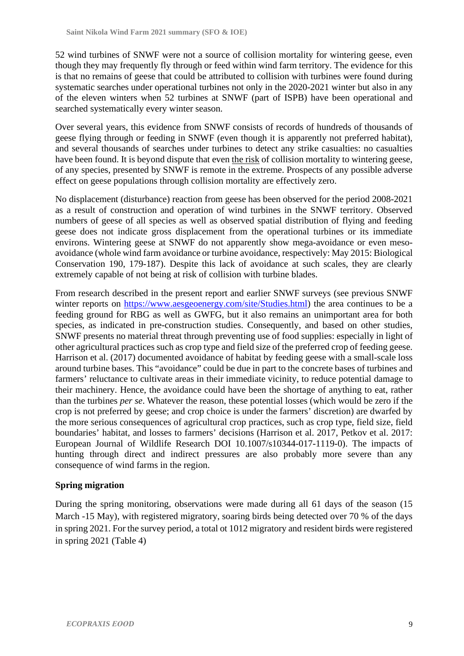52 wind turbines of SNWF were not a source of collision mortality for wintering geese, even though they may frequently fly through or feed within wind farm territory. The evidence for this is that no remains of geese that could be attributed to collision with turbines were found during systematic searches under operational turbines not only in the 2020-2021 winter but also in any of the eleven winters when 52 turbines at SNWF (part of ISPB) have been operational and searched systematically every winter season.

Over several years, this evidence from SNWF consists of records of hundreds of thousands of geese flying through or feeding in SNWF (even though it is apparently not preferred habitat), and several thousands of searches under turbines to detect any strike casualties: no casualties have been found. It is beyond dispute that even the risk of collision mortality to wintering geese, of any species, presented by SNWF is remote in the extreme. Prospects of any possible adverse effect on geese populations through collision mortality are effectively zero.

No displacement (disturbance) reaction from geese has been observed for the period 2008-2021 as a result of construction and operation of wind turbines in the SNWF territory. Observed numbers of geese of all species as well as observed spatial distribution of flying and feeding geese does not indicate gross displacement from the operational turbines or its immediate environs. Wintering geese at SNWF do not apparently show mega-avoidance or even mesoavoidance (whole wind farm avoidance or turbine avoidance, respectively: May 2015: Biological Conservation 190, 179-187). Despite this lack of avoidance at such scales, they are clearly extremely capable of not being at risk of collision with turbine blades.

From research described in the present report and earlier SNWF surveys (see previous SNWF winter reports on <https://www.aesgeoenergy.com/site/Studies.html>) the area continues to be a feeding ground for RBG as well as GWFG, but it also remains an unimportant area for both species, as indicated in pre-construction studies. Consequently, and based on other studies, SNWF presents no material threat through preventing use of food supplies: especially in light of other agricultural practices such as crop type and field size of the preferred crop of feeding geese. Harrison et al. (2017) documented avoidance of habitat by feeding geese with a small-scale loss around turbine bases. This "avoidance" could be due in part to the concrete bases of turbines and farmers' reluctance to cultivate areas in their immediate vicinity, to reduce potential damage to their machinery. Hence, the avoidance could have been the shortage of anything to eat, rather than the turbines *per se*. Whatever the reason, these potential losses (which would be zero if the crop is not preferred by geese; and crop choice is under the farmers' discretion) are dwarfed by the more serious consequences of agricultural crop practices, such as crop type, field size, field boundaries' habitat, and losses to farmers' decisions (Harrison et al. 2017, Petkov et al. 2017: European Journal of Wildlife Research DOI 10.1007/s10344-017-1119-0). The impacts of hunting through direct and indirect pressures are also probably more severe than any consequence of wind farms in the region.

## **Spring migration**

During the spring monitoring, observations were made during all 61 days of the season (15 March -15 May), with registered migratory, soaring birds being detected over 70 % of the days in spring 2021. For the survey period, a total ot 1012 migratory and resident birds were registered in spring 2021 (Table 4)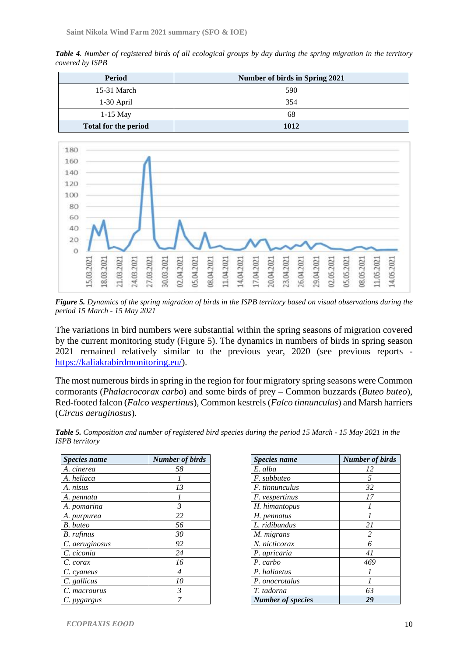Table 4. Number of registered birds of all ecological groups by day during the spring migration in the territory *covered by ISPB* 

| <b>Period</b>               | Number of birds in Spring 2021 |
|-----------------------------|--------------------------------|
| $15-31$ March               | 590                            |
| 1-30 April                  | 354                            |
| $1-15$ May                  | 68                             |
| <b>Total for the period</b> | 1012                           |



Figure 5. Dynamics of the spring migration of birds in the ISPB territory based on visual observations during the *period 15 March - 15 May 2021* 

The variations in bird numbers were substantial within the spring seasons of migration covered by the current monitoring study (Figure 5). The dynamics in numbers of birds in spring season 2021 remained relatively similar to the previous year, 2020 (see previous reports <https://kaliakrabirdmonitoring.eu/>).

The most numerous birds in spring in the region for four migratory spring seasons were Common cormorants (*Phalacrocorax carbo*) and some birds of prey – Common buzzards (*Buteo buteo*), Red-footed falcon (*Falco vespertinus*), Common kestrels (*Falco tinnunculus*) and Marsh harriers (*Circus aeruginosus*).

| <b>Species name</b> | <b>Number of birds</b> |
|---------------------|------------------------|
| A. cinerea          | 58                     |
| A. heliaca          |                        |
| A. nisus            | 13                     |
| A. pennata          |                        |
| A. pomarina         | 3                      |
| A. purpurea         | 22                     |
| B. buteo            | 56                     |
| B. rufinus          | 30                     |
| C. aeruginosus      | 92                     |
| C. ciconia          | 24                     |
| C. corax            | 16                     |
| C. cyaneus          | 4                      |
| C. gallicus         | 10                     |
| C. macrourus        | 3                      |
| C. pygargus         |                        |

| <b>Species name</b>      | <b>Number of birds</b> |
|--------------------------|------------------------|
| E. alba                  | 12                     |
| F. subbuteo              | .5                     |
| <i>F. tinnunculus</i>    | 32                     |
| F. vespertinus           | 17                     |
| H. himantopus            |                        |
| H. pennatus              |                        |
| L. ridibundus            | 21                     |
| M. migrans               | 2                      |
| N. nicticorax            | 6                      |
| P. apricaria             | 41                     |
| P. carbo                 | 469                    |
| P. haliaetus             |                        |
| P. onocrotalus           |                        |
| T. tadorna               | 63                     |
| <b>Number of species</b> | 29                     |

Table 5. Composition and number of registered bird species during the period 15 March - 15 May 2021 in the *ISPB territory*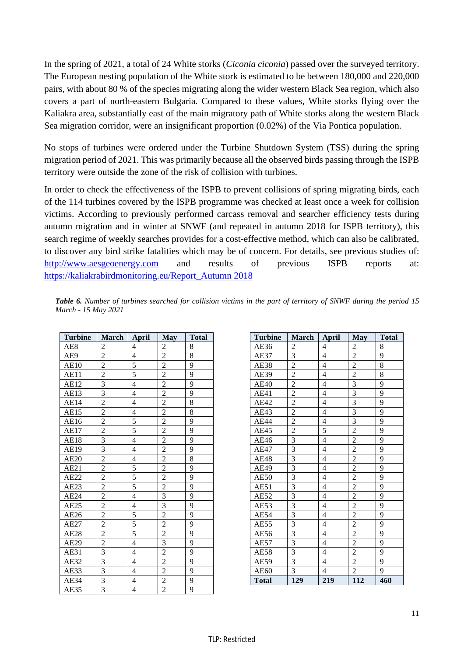In the spring of 2021, a total of 24 White storks (*Ciconia ciconia*) passed over the surveyed territory. The European nesting population of the White stork is estimated to be between 180,000 and 220,000 pairs, with about 80 % of the species migrating along the wider western Black Sea region, which also covers a part of north-eastern Bulgaria. Compared to these values, White storks flying over the Kaliakra area, substantially east of the main migratory path of White storks along the western Black Sea migration corridor, were an insignificant proportion (0.02%) of the Via Pontica population.

No stops of turbines were ordered under the Turbine Shutdown System (TSS) during the spring migration period of 2021. This was primarily because all the observed birds passing through the ISPB territory were outside the zone of the risk of collision with turbines.

In order to check the effectiveness of the ISPB to prevent collisions of spring migrating birds, each of the 114 turbines covered by the ISPB programme was checked at least once a week for collision victims. According to previously performed carcass removal and searcher efficiency tests during autumn migration and in winter at SNWF (and repeated in autumn 2018 for ISPB territory), this search regime of weekly searches provides for a cost-effective method, which can also be calibrated, to discover any bird strike fatalities which may be of concern. For details, see previous studies of: <http://www.aesgeoenergy.com> and results of previous ISPB reports at: [https://kaliakrabirdmonitoring.eu/Report\\_Autumn](https://kaliakrabirdmonitoring.eu/Report_Autumn) 2018

| <b>Turbine</b>    | <b>March</b>   | <b>April</b>             | <b>May</b>     | <b>Total</b>   |  |  |
|-------------------|----------------|--------------------------|----------------|----------------|--|--|
| AE8               | $\overline{c}$ | $\overline{4}$           | $\overline{c}$ | 8              |  |  |
| AE9               | $\overline{c}$ | $\overline{4}$           | $\overline{2}$ | 8              |  |  |
| <b>AE10</b>       | $\overline{c}$ | $\overline{5}$           | $\overline{2}$ | 9              |  |  |
| AE11              | $\overline{2}$ | 5                        | $\overline{2}$ | 9              |  |  |
| <b>AE12</b>       | $\frac{3}{3}$  | $\overline{4}$           | $\overline{2}$ | 9              |  |  |
| AE13              |                | $\overline{\mathbf{4}}$  | $\overline{c}$ | 9              |  |  |
| AE14              | $\overline{2}$ | $\overline{4}$           | $\overline{2}$ | 8              |  |  |
| $\overline{AB15}$ | $\overline{2}$ | $\overline{\mathcal{L}}$ | $\overline{2}$ | 8              |  |  |
| AE16              | $\overline{2}$ | 5                        | $\overline{2}$ | 9              |  |  |
| <b>AE17</b>       | $\overline{2}$ | 5                        | $\overline{2}$ | 9              |  |  |
| $\overline{AE18}$ | $\overline{3}$ | $\overline{4}$           | $\overline{2}$ | 9              |  |  |
| AE19              | $\overline{3}$ | $\overline{4}$           | $\overline{2}$ | 9              |  |  |
| <b>AE20</b>       | $\overline{2}$ | $\overline{4}$           | $\overline{2}$ | 8              |  |  |
| AE21              | $\overline{2}$ | $\overline{5}$           | $\overline{2}$ | 9              |  |  |
| AE22              | $\overline{c}$ | 5                        | $\overline{2}$ | 9              |  |  |
| AE23              | $\overline{2}$ | $\overline{5}$           | $\overline{2}$ | 9              |  |  |
| AE24              | $\overline{c}$ | $\overline{4}$           | $\overline{3}$ | 9              |  |  |
| AE25              | $\overline{2}$ | $\overline{4}$           | $\overline{3}$ | 9              |  |  |
| AE26              | $\overline{2}$ | $\overline{5}$           | $\overline{c}$ | 9              |  |  |
| $\overline{AE27}$ | $\overline{c}$ | $\overline{5}$           | $\overline{c}$ | 9              |  |  |
| <b>AE28</b>       | $\overline{c}$ | $\overline{5}$           | $\overline{c}$ | 9              |  |  |
| AE29              | $\overline{2}$ | $\overline{4}$           | $\overline{3}$ | 9              |  |  |
| AE31              | 3              | $\overline{\mathbf{4}}$  | $\overline{2}$ | 9              |  |  |
| AE32              | $\overline{3}$ | $\overline{4}$           | $\overline{2}$ | 9              |  |  |
| AE33              | $\overline{3}$ | $\overline{\mathbf{4}}$  | $\overline{2}$ | 9              |  |  |
| AE34              | $\overline{3}$ | $\overline{\mathbf{4}}$  | $\overline{c}$ | $\overline{9}$ |  |  |
| AE35              | $\overline{3}$ | $\overline{4}$           | $\overline{c}$ | $\overline{9}$ |  |  |

| Table 6. Number of turbines searched for collision victims in the part of territory of SNWF during the period 15 |  |  |  |  |  |
|------------------------------------------------------------------------------------------------------------------|--|--|--|--|--|
| March - 15 May 2021                                                                                              |  |  |  |  |  |

| <b>Turbine</b> | <b>March</b>            | <b>April</b>             | <b>May</b>                                                                                                                                  | <b>Total</b>   |
|----------------|-------------------------|--------------------------|---------------------------------------------------------------------------------------------------------------------------------------------|----------------|
| AE36           | $\overline{c}$          | 4                        |                                                                                                                                             | 8              |
| AE37           | $\overline{3}$          | $\overline{\mathcal{L}}$ | $\frac{2}{2}$                                                                                                                               | 9              |
| AE38           | $\overline{2}$          | $\overline{\mathbf{4}}$  | $\overline{2}$                                                                                                                              | 8              |
| AE39           | $\overline{c}$          | 4                        |                                                                                                                                             | 8              |
| <b>AE40</b>    | $\overline{2}$          | $\overline{4}$           | $\frac{2}{3}$ $\frac{3}{3}$ $\frac{3}{3}$ $\frac{3}{2}$ $\frac{2}{2}$ $\frac{2}{2}$ $\frac{2}{2}$ $\frac{2}{2}$ $\frac{2}{2}$ $\frac{2}{2}$ | 9              |
| AE41           | $\overline{2}$          | $\overline{\mathcal{L}}$ |                                                                                                                                             | 9              |
| AE42           | $\overline{2}$          | $\overline{\mathcal{L}}$ |                                                                                                                                             | 9              |
| AE43           | $\frac{2}{2}$           | $\overline{4}$           |                                                                                                                                             | 9              |
| <b>AE44</b>    |                         | $\overline{\mathcal{L}}$ |                                                                                                                                             | 9              |
| AE45           | $\overline{c}$          | 5                        |                                                                                                                                             | 9              |
| AE46           | $\overline{\mathbf{3}}$ | $\overline{4}$           |                                                                                                                                             | 9              |
| <b>AE47</b>    | $\overline{3}$          | $\overline{\mathbf{4}}$  |                                                                                                                                             | 9              |
| <b>AE48</b>    | $\overline{3}$          | $\overline{\mathcal{L}}$ |                                                                                                                                             | 9              |
| <b>AE49</b>    | $\overline{3}$          | $\overline{\mathcal{L}}$ |                                                                                                                                             | 9              |
| <b>AE50</b>    | $\frac{3}{3}$           | $\overline{4}$           |                                                                                                                                             | 9              |
| AE51           |                         | $\overline{\mathcal{L}}$ |                                                                                                                                             | $\overline{9}$ |
| AE52           |                         | $\overline{4}$           |                                                                                                                                             | 9              |
| AE53           | $\overline{3}$          | $\overline{4}$           |                                                                                                                                             | 9              |
| <b>AE54</b>    | $\overline{3}$          | $\overline{4}$           | $\overline{2}$                                                                                                                              | 9              |
| <b>AE55</b>    | 3                       | 4                        |                                                                                                                                             | 9              |
| AE56           | $\overline{3}$          | $\overline{\mathcal{L}}$ | $\frac{2}{2}$                                                                                                                               | 9              |
| <b>AE57</b>    | 3                       | $\overline{\mathbf{4}}$  |                                                                                                                                             | 9              |
| <b>AE58</b>    | 3                       | $\overline{\mathcal{L}}$ |                                                                                                                                             | 9              |
| AE59           | $\overline{\mathbf{3}}$ | $\overline{\mathbf{4}}$  | $\frac{2}{2}$                                                                                                                               | 9              |
| AE60           | $\overline{3}$          | $\overline{4}$           | $\overline{c}$                                                                                                                              | 9              |
| <b>Total</b>   | 129                     | 219                      | 112                                                                                                                                         | 460            |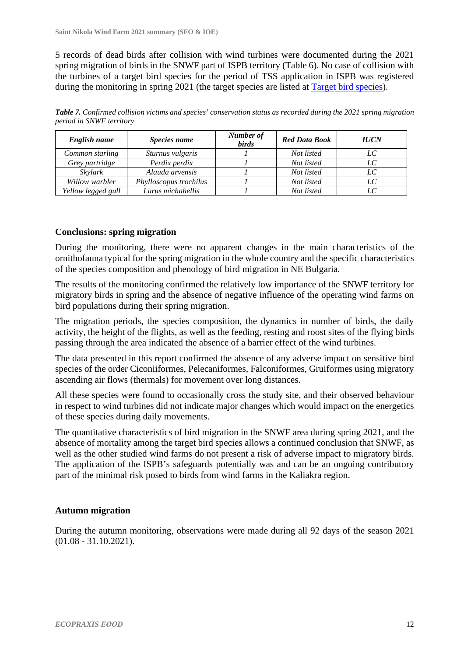5 records of dead birds after collision with wind turbines were documented during the 2021 spring migration of birds in the SNWF part of ISPB territory (Table 6). No case of collision with the turbines of a target bird species for the period of TSS application in ISPB was registered during the monitoring in spring 2021 (the target species are listed at Target bird species).

Table 7. Confirmed collision victims and species' conservation status as recorded during the 2021 spring migration *period in SNWF territory* 

| English name       | Species name           | Number of<br><i>birds</i> | <b>Red Data Book</b> | <b>IUCN</b> |
|--------------------|------------------------|---------------------------|----------------------|-------------|
| Common starling    | Sturnus vulgaris       |                           | Not listed           | LC          |
| Grey partridge     | Perdix perdix          |                           | Not listed           | $_{LC}$     |
| Skylark            | Alauda arvensis        |                           | Not listed           | LC          |
| Willow warbler     | Phylloscopus trochilus |                           | Not listed           | LC          |
| Yellow legged gull | Larus michahellis      |                           | Not listed           |             |

## **Conclusions: spring migration**

During the monitoring, there were no apparent changes in the main characteristics of the ornithofauna typical for the spring migration in the whole country and the specific characteristics of the species composition and phenology of bird migration in NE Bulgaria.

The results of the monitoring confirmed the relatively low importance of the SNWF territory for migratory birds in spring and the absence of negative influence of the operating wind farms on bird populations during their spring migration.

The migration periods, the species composition, the dynamics in number of birds, the daily activity, the height of the flights, as well as the feeding, resting and roost sites of the flying birds passing through the area indicated the absence of a barrier effect of the wind turbines.

The data presented in this report confirmed the absence of any adverse impact on sensitive bird species of the order Ciconiiformes, Pelecaniformes, Falconiformes, Gruiformes using migratory ascending air flows (thermals) for movement over long distances.

All these species were found to occasionally cross the study site, and their observed behaviour in respect to wind turbines did not indicate major changes which would impact on the energetics of these species during daily movements.

The quantitative characteristics of bird migration in the SNWF area during spring 2021, and the absence of mortality among the target bird species allows a continued conclusion that SNWF, as well as the other studied wind farms do not present a risk of adverse impact to migratory birds. The application of the ISPB's safeguards potentially was and can be an ongoing contributory part of the minimal risk posed to birds from wind farms in the Kaliakra region.

## **Autumn migration**

During the autumn monitoring, observations were made during all 92 days of the season 2021 (01.08 - 31.10.2021).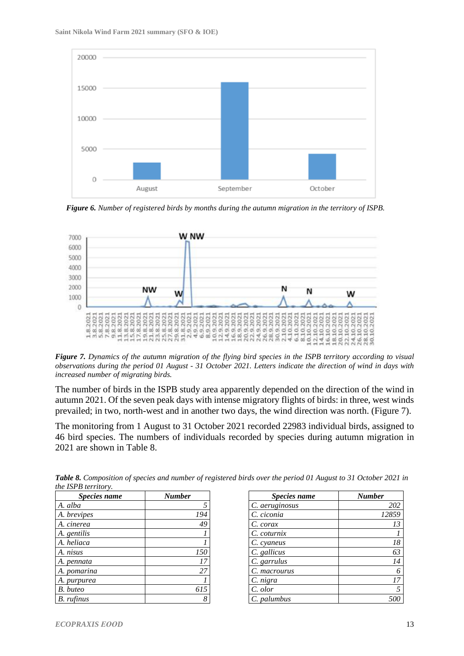

*Figure 6. Number of registered birds by months during the autumn migration in the territory of ISPB.* 



Figure 7. Dynamics of the autumn migration of the flying bird species in the ISPB territory according to visual observations during the period 01 August - 31 October 2021. Letters indicate the direction of wind in days with *increased number of migrating birds.* 

The number of birds in the ISPB study area apparently depended on the direction of the wind in autumn 2021. Of the seven peak days with intense migratory flights of birds: in three, west winds prevailed; in two, north-west and in another two days, the wind direction was north. (Figure 7).

The monitoring from 1 August to 31 October 2021 recorded 22983 individual birds, assigned to 46 bird species. The numbers of individuals recorded by species during autumn migration in 2021 are shown in Table 8.

| <b>Species name</b> | <b>Number</b> |
|---------------------|---------------|
| A. alba             | 5             |
| A. brevipes         | 194           |
| A. cinerea          | 49            |
| A. gentilis         |               |
| A. heliaca          |               |
| A. nisus            | 150           |
| A. pennata          | 17            |
| A. pomarina         | 27            |
| A. purpurea         |               |
| B. buteo            | 615           |
| B. rufinus          | 8             |

Table 8. Composition of species and number of registered birds over the period 01 August to 31 October 2021 in *the ISPB territory.* 

| <i>Species name</i> | <b>Number</b> |
|---------------------|---------------|
| C. aeruginosus      | 202           |
| C. ciconia          | 12859         |
| C. corax            | 13            |
| C. coturnix         |               |
| C. cyaneus          | 18            |
| C. gallicus         | 63            |
| C. garrulus         | 14            |
| C. macrourus        |               |
| C. nigra            | 17            |
| C. olor             |               |
| C. palumbus         |               |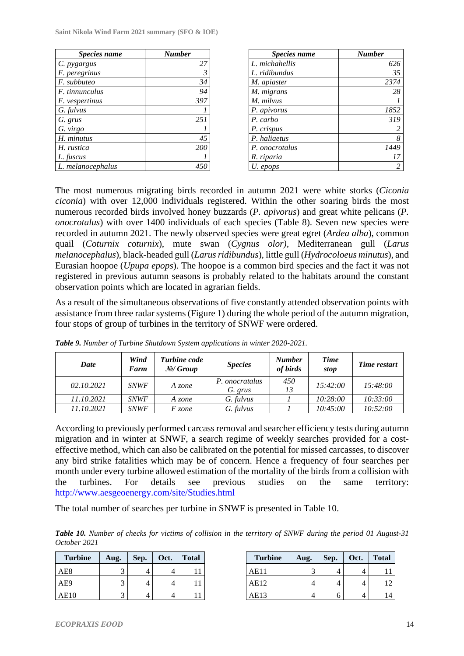**Saint Nikola Wind Farm 2021 summary (SFO & IOE)**

| Species name          | <b>Number</b> |
|-----------------------|---------------|
| C. <i>pygargus</i>    | 27            |
| F. peregrinus         | 3             |
| F. subbuteo           | 34            |
| <i>F.</i> tinnunculus | 94            |
| F. vespertinus        | 397           |
| G. fulvus             |               |
| G. grus               | 251           |
| G. virgo              |               |
| H. minutus            | 45            |
| H. rustica            | 200           |
| L. fuscus             |               |
| L. melanocephalus     |               |

| Species name   | <b>Number</b> |
|----------------|---------------|
| L. michahellis | 626           |
| L. ridibundus  | 35            |
| M. apiaster    | 2374          |
| M. migrans     | 28            |
| M. milvus      |               |
| P. apivorus    | 1852          |
| P. carbo       | 319           |
| P. crispus     | 2             |
| P. haliaetus   | 8             |
| P. onocrotalus | 1449          |
| R. riparia     | 17            |
| U. epops       | 2             |

The most numerous migrating birds recorded in autumn 2021 were white storks (*Ciconia ciconia*) with over 12,000 individuals registered. Within the other soaring birds the most numerous recorded birds involved honey buzzards (*P. apivorus*) and great white pelicans (*P. onocrotalus*) with over 1400 individuals of each species (Table 8). Seven new species were recorded in autumn 2021. The newly observed species were great egret (*Ardea alba*), common quail (*Coturnix coturnix*), mute swan (*Cygnus olor),* Mediterranean gull (*Larus melanocephalus*), black-headed gull (*Larus ridibundus*), little gull (*Hydrocoloeus minutus*), and Eurasian hoopoe (*Upupa epops*). The hoopoe is a common bird species and the fact it was not registered in previous autumn seasons is probably related to the habitats around the constant observation points which are located in agrarian fields.

As a result of the simultaneous observations of five constantly attended observation points with assistance from three radar systems (Figure 1) during the whole period of the autumn migration, four stops of group of turbines in the territory of SNWF were ordered.

| Date       | Wind<br>Farm | <b>Turbine</b> code<br>N <sub>2</sub> /Group | <i>Species</i>            | <b>Number</b><br>of birds | Time<br>stop | Time restart |
|------------|--------------|----------------------------------------------|---------------------------|---------------------------|--------------|--------------|
| 02.10.2021 | <b>SNWF</b>  | A zone                                       | P. onocratalus<br>G. grus | 450<br>13                 | 15:42:00     | 15:48:00     |
| 11.10.2021 | <b>SNWF</b>  | A zone                                       | G. fulvus                 |                           | 10:28:00     | 10:33:00     |
| 11.10.2021 | <b>SNWF</b>  | F zone                                       | G. fulvus                 |                           | 10:45:00     | 10:52:00     |

*Table 9. Number of Turbine Shutdown System applications in winter 2020-2021.* 

According to previously performed carcass removal and searcher efficiency tests during autumn migration and in winter at SNWF, a search regime of weekly searches provided for a costeffective method, which can also be calibrated on the potential for missed carcasses, to discover any bird strike fatalities which may be of concern. Hence a frequency of four searches per month under every turbine allowed estimation of the mortality of the birds from a collision with the turbines. For details see previous studies on the same territory: <http://www.aesgeoenergy.com/site/Studies.html>

The total number of searches per turbine in SNWF is presented in Table 10.

**Table 10.** Number of checks for victims of collision in the territory of SNWF during the period 01 August-31 *October 2021* 

| <b>Turbine</b> | Aug. | Sep. | Oct. | <b>Total</b> |
|----------------|------|------|------|--------------|
| AE8            |      |      |      |              |
| AE9            | っ    |      |      |              |
| AE10           |      |      |      |              |

| <b>Turbine</b> | Aug. | Sep. | Oct. | <b>Total</b> |
|----------------|------|------|------|--------------|
| AE11           |      |      |      |              |
| AE12           |      |      |      |              |
| AE13           |      | 6    |      |              |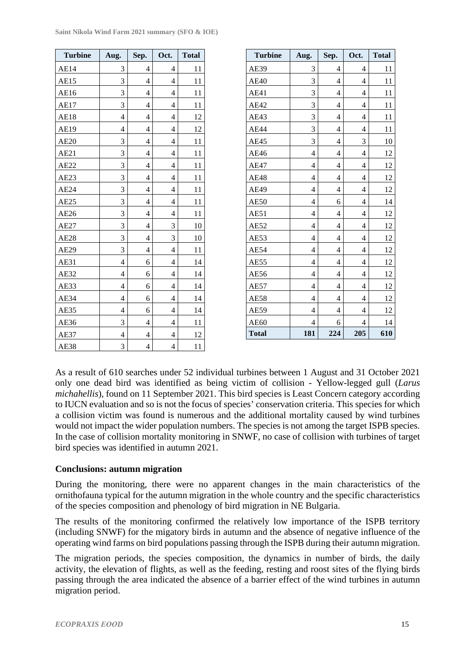| Saint Nikola Wind Farm 2021 summary (SFO & IOE) |  |  |  |  |
|-------------------------------------------------|--|--|--|--|
|-------------------------------------------------|--|--|--|--|

| <b>Turbine</b> | Aug.           | Sep.           | Oct.                     | <b>Total</b> |
|----------------|----------------|----------------|--------------------------|--------------|
| AE14           | 3              | 4              | 4                        | 11           |
| AE15           | 3              | $\overline{4}$ | $\overline{4}$           | 11           |
| AE16           | 3              | 4              | 4                        | 11           |
| <b>AE17</b>    | 3              | 4              | 4                        | 11           |
| <b>AE18</b>    | 4              | 4              | 4                        | 12           |
| AE19           | $\overline{4}$ | 4              | 4                        | 12           |
| AE20           | 3              | 4              | 4                        | 11           |
| AE21           | 3              | $\overline{4}$ | $\overline{4}$           | 11           |
| AE22           | 3              | 4              | 4                        | 11           |
| AE23           | 3              | $\overline{4}$ | $\overline{4}$           | 11           |
| AE24           | 3              | $\overline{4}$ | 4                        | 11           |
| AE25           | 3              | 4              | 4                        | 11           |
| AE26           | 3              | $\overline{4}$ | 4                        | 11           |
| <b>AE27</b>    | 3              | 4              | 3                        | 10           |
| <b>AE28</b>    | 3              | $\overline{4}$ | 3                        | 10           |
| <b>AE29</b>    | $\overline{3}$ | $\overline{4}$ | 4                        | 11           |
| <b>AE31</b>    | 4              | 6              | 4                        | 14           |
| <b>AE32</b>    | $\overline{4}$ | 6              | $\overline{4}$           | 14           |
| AE33           | 4              | 6              | 4                        | 14           |
| AE34           | 4              | 6              | 4                        | 14           |
| AE35           | 4              | 6              | 4                        | 14           |
| AE36           | 3              | $\overline{4}$ | 4                        | 11           |
| AE37           | $\overline{4}$ | 4              | 4                        | 12           |
| <b>AE38</b>    | 3              | $\overline{4}$ | $\overline{\mathcal{L}}$ | 11           |

| <b>Turbine</b> | Aug.                     | Sep.                     | Oct.                    | <b>Total</b> |
|----------------|--------------------------|--------------------------|-------------------------|--------------|
| AE39           | 3                        | 4                        | 4                       | 11           |
| AE40           | 3                        | $\overline{4}$           | $\overline{4}$          | 11           |
| <b>AE41</b>    | 3                        | 4                        | $\overline{4}$          | 11           |
| AE42           | 3                        | 4                        | $\overline{\mathbf{4}}$ | 11           |
| AE43           | 3                        | 4                        | $\overline{4}$          | 11           |
| AE44           | 3                        | 4                        | $\overline{4}$          | 11           |
| AE45           | 3                        | 4                        | 3                       | 10           |
| <b>AE46</b>    | $\overline{\mathcal{L}}$ | 4                        | $\overline{4}$          | 12           |
| AE47           | $\overline{4}$           | $\overline{4}$           | $\overline{4}$          | 12           |
| AE48           | 4                        | 4                        | $\overline{4}$          | 12           |
| <b>AE49</b>    | $\overline{\mathbf{4}}$  | $\overline{\mathcal{L}}$ | $\overline{\mathbf{4}}$ | 12           |
| <b>AE50</b>    | 4                        | 6                        | $\overline{4}$          | 14           |
| AE51           | 4                        | 4                        | $\overline{4}$          | 12           |
| AE52           | $\overline{\mathcal{L}}$ | 4                        | $\overline{4}$          | 12           |
| AE53           | 4                        | 4                        | $\overline{4}$          | 12           |
| AE54           | $\overline{4}$           | 4                        | $\overline{4}$          | 12           |
| AE55           | 4                        | $\overline{\mathcal{L}}$ | $\overline{4}$          | 12           |
| <b>AE56</b>    | 4                        | 4                        | $\overline{4}$          | 12           |
| AE57           | 4                        | 4                        | $\overline{4}$          | 12           |
| <b>AE58</b>    | 4                        | 4                        | $\overline{4}$          | 12           |
| <b>AE59</b>    | $\overline{4}$           | $\overline{4}$           | $\overline{4}$          | 12           |
| <b>AE60</b>    | 4                        | 6                        | 4                       | 14           |
| <b>Total</b>   | 181                      | 224                      | 205                     | 610          |

As a result of 610 searches under 52 individual turbines between 1 August and 31 October 2021 only one dead bird was identified as being victim of collision - Yellow-legged gull (*Larus michahellis*), found on 11 September 2021. This bird species is Least Concern category according to IUCN evaluation and so is not the focus of species' conservation criteria. This species for which a collision victim was found is numerous and the additional mortality caused by wind turbines would not impact the wider population numbers. The species is not among the target ISPB species. In the case of collision mortality monitoring in SNWF, no case of collision with turbines of target bird species was identified in autumn 2021.

## **Conclusions: autumn migration**

During the monitoring, there were no apparent changes in the main characteristics of the ornithofauna typical for the autumn migration in the whole country and the specific characteristics of the species composition and phenology of bird migration in NE Bulgaria.

The results of the monitoring confirmed the relatively low importance of the ISPB territory (including SNWF) for the migatory birds in autumn and the absence of negative influence of the operating wind farms on bird populations passing through the ISPB during their autumn migration.

The migration periods, the species composition, the dynamics in number of birds, the daily activity, the elevation of flights, as well as the feeding, resting and roost sites of the flying birds passing through the area indicated the absence of a barrier effect of the wind turbines in autumn migration period.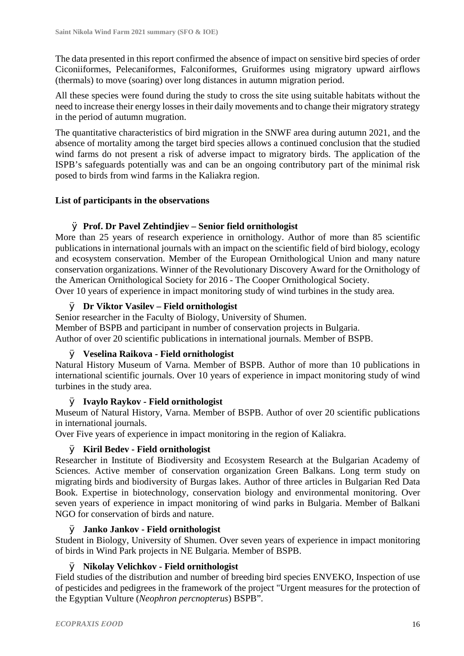The data presented in this report confirmed the absence of impact on sensitive bird species of order Ciconiiformes, Pelecaniformes, Falconiformes, Gruiformes using migratory upward airflows (thermals) to move (soaring) over long distances in autumn migration period.

All these species were found during the study to cross the site using suitable habitats without the need to increase their energy losses in their daily movements and to change their migratory strategy in the period of autumn mugration.

The quantitative characteristics of bird migration in the SNWF area during autumn 2021, and the absence of mortality among the target bird species allows a continued conclusion that the studied wind farms do not present a risk of adverse impact to migratory birds. The application of the ISPB's safeguards potentially was and can be an ongoing contributory part of the minimal risk posed to birds from wind farms in the Kaliakra region.

## **List of participants in the observations**

## Ø **Prof. Dr Pavel Zehtindjiev – Senior field ornithologist**

More than 25 years of research experience in ornithology. Author of more than 85 scientific publications in international journals with an impact on the scientific field of bird biology, ecology and ecosystem conservation. Member of the European Ornithological Union and many nature conservation organizations. Winner of the Revolutionary Discovery Award for the Ornithology of the American Ornithological Society for 2016 - The Cooper Ornithological Society. Over 10 years of experience in impact monitoring study of wind turbines in the study area.

## Ø **Dr Viktor Vasilev – Field ornithologist**

Senior researcher in the Faculty of Biology, University of Shumen. Member of BSPB and participant in number of conservation projects in Bulgaria. Author of over 20 scientific publications in international journals. Member of BSPB.

## Ø **Veselina Raikova - Field ornithologist**

Natural History Museum of Varna. Member of BSPB. Author of more than 10 publications in international scientific journals. Over 10 years of experience in impact monitoring study of wind turbines in the study area.

## Ø **Ivaylo Raykov - Field ornithologist**

Museum of Natural History, Varna. Member of BSPB. Author of over 20 scientific publications in international journals.

Over Five years of experience in impact monitoring in the region of Kaliakra.

## Ø **Kiril Bedev - Field ornithologist**

Researcher in Institute of Biodiversity and Ecosystem Research at the Bulgarian Academy of Sciences. Active member of conservation organization Green Balkans. Long term study on migrating birds and biodiversity of Burgas lakes. Author of three articles in Bulgarian Red Data Book. Expertise in biotechnology, conservation biology and environmental monitoring. Over seven years of experience in impact monitoring of wind parks in Bulgaria. Member of Balkani NGO for conservation of birds and nature.

## Ø **Janko Jankov - Field ornithologist**

Student in Biology, University of Shumen. Over seven years of experience in impact monitoring of birds in Wind Park projects in NE Bulgaria. Member of BSPB.

## Ø **Nikolay Velichkov - Field ornithologist**

Field studies of the distribution and number of breeding bird species ENVEKO, Inspection of use of pesticides and pedigrees in the framework of the project "Urgent measures for the protection of the Egyptian Vulture (*Neophron percnopterus*) BSPB".